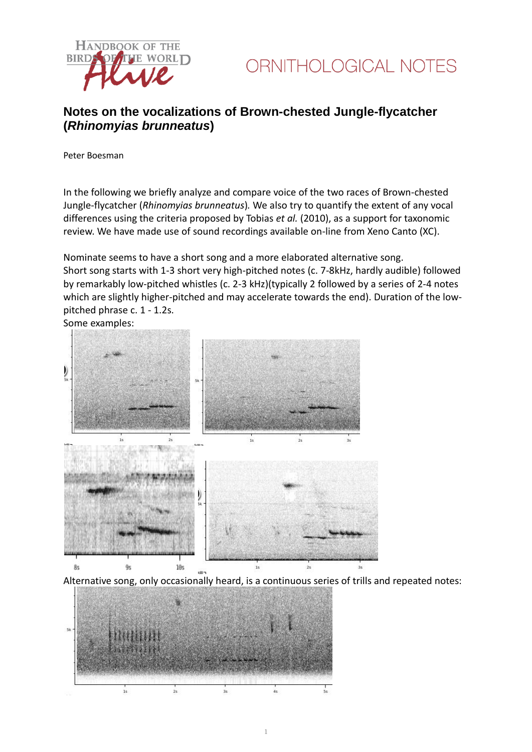



# **Notes on the vocalizations of Brown-chested Jungle-flycatcher (***Rhinomyias brunneatus***)**

Peter Boesman

In the following we briefly analyze and compare voice of the two races of Brown-chested Jungle-flycatcher (*Rhinomyias brunneatus*)*.* We also try to quantify the extent of any vocal differences using the criteria proposed by Tobias *et al.* (2010), as a support for taxonomic review. We have made use of sound recordings available on-line from Xeno Canto (XC).

Nominate seems to have a short song and a more elaborated alternative song. Short song starts with 1-3 short very high-pitched notes (c. 7-8kHz, hardly audible) followed by remarkably low-pitched whistles (c. 2-3 kHz)(typically 2 followed by a series of 2-4 notes which are slightly higher-pitched and may accelerate towards the end). Duration of the lowpitched phrase c. 1 - 1.2s.

Some examples:



Alternative song, only occasionally heard, is a continuous series of trills and repeated notes:

1